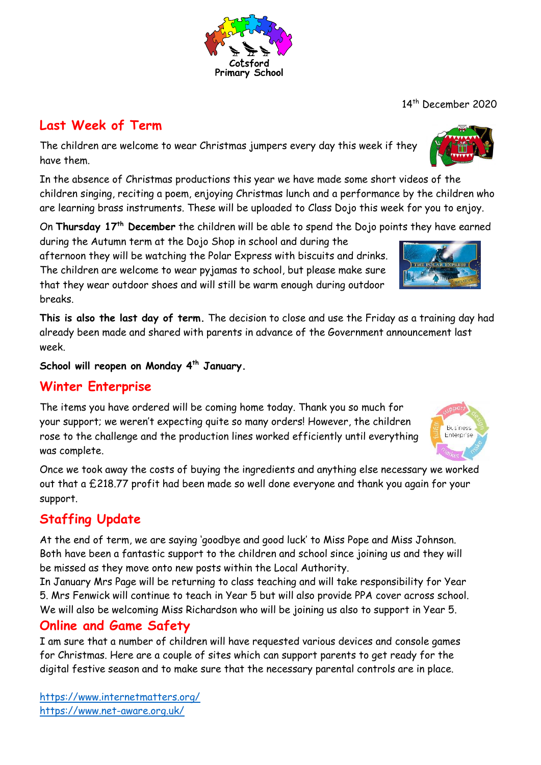### **Last Week of Term**

The children are welcome to wear Christmas jumpers every day this week if they have them.

In the absence of Christmas productions this year we have made some short videos of the children singing, reciting a poem, enjoying Christmas lunch and a performance by the children who are learning brass instruments. These will be uploaded to Class Dojo this week for you to enjoy.

On **Thursday 17th December** the children will be able to spend the Dojo points they have earned

during the Autumn term at the Dojo Shop in school and during the afternoon they will be watching the Polar Express with biscuits and drinks. The children are welcome to wear pyjamas to school, but please make sure that they wear outdoor shoes and will still be warm enough during outdoor breaks.

**This is also the last day of term.** The decision to close and use the Friday as a training day had already been made and shared with parents in advance of the Government announcement last week.

**School will reopen on Monday 4th January.**

### **Winter Enterprise**

The items you have ordered will be coming home today. Thank you so much for your support; we weren't expecting quite so many orders! However, the children rose to the challenge and the production lines worked efficiently until everything was complete.

Once we took away the costs of buying the ingredients and anything else necessary we worked out that a £218.77 profit had been made so well done everyone and thank you again for your support.

# **Staffing Update**

At the end of term, we are saying 'goodbye and good luck' to Miss Pope and Miss Johnson. Both have been a fantastic support to the children and school since joining us and they will be missed as they move onto new posts within the Local Authority.

In January Mrs Page will be returning to class teaching and will take responsibility for Year 5. Mrs Fenwick will continue to teach in Year 5 but will also provide PPA cover across school. We will also be welcoming Miss Richardson who will be joining us also to support in Year 5.

## **Online and Game Safety**

I am sure that a number of children will have requested various devices and console games for Christmas. Here are a couple of sites which can support parents to get ready for the digital festive season and to make sure that the necessary parental controls are in place.

<https://www.internetmatters.org/> <https://www.net-aware.org.uk/>